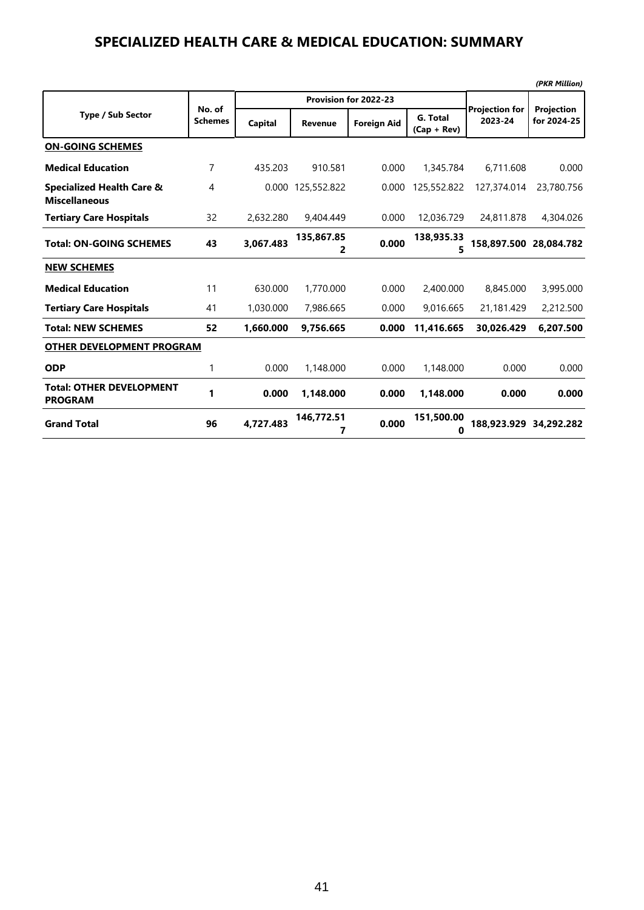#### **SPECIALIZED HEALTH CARE & MEDICAL EDUCATION: SUMMARY**

|                                                              |                          |           |                 |                       |                           |                                  | (PKR Million)             |
|--------------------------------------------------------------|--------------------------|-----------|-----------------|-----------------------|---------------------------|----------------------------------|---------------------------|
|                                                              |                          |           |                 | Provision for 2022-23 |                           |                                  |                           |
| <b>Type / Sub Sector</b>                                     | No. of<br><b>Schemes</b> | Capital   | Revenue         | <b>Foreign Aid</b>    | G. Total<br>$(Cap + Rev)$ | <b>Projection for</b><br>2023-24 | Projection<br>for 2024-25 |
| <b>ON-GOING SCHEMES</b>                                      |                          |           |                 |                       |                           |                                  |                           |
| <b>Medical Education</b>                                     | 7                        | 435.203   | 910.581         | 0.000                 | 1,345.784                 | 6,711.608                        | 0.000                     |
| <b>Specialized Health Care &amp;</b><br><b>Miscellaneous</b> | $\overline{4}$           | 0.000     | 125,552.822     | 0.000                 | 125,552.822               | 127,374.014                      | 23,780,756                |
| <b>Tertiary Care Hospitals</b>                               | 32                       | 2,632.280 | 9,404.449       | 0.000                 | 12,036.729                | 24,811.878                       | 4,304.026                 |
| <b>Total: ON-GOING SCHEMES</b>                               | 43                       | 3,067.483 | 135.867.85<br>2 | 0.000                 | 138,935.33<br>5           | 158.897.500                      | 28.084.782                |
| <b>NEW SCHEMES</b>                                           |                          |           |                 |                       |                           |                                  |                           |
| <b>Medical Education</b>                                     | 11                       | 630.000   | 1,770.000       | 0.000                 | 2,400.000                 | 8,845,000                        | 3,995.000                 |
| <b>Tertiary Care Hospitals</b>                               | 41                       | 1,030.000 | 7,986.665       | 0.000                 | 9,016.665                 | 21,181.429                       | 2,212.500                 |
| <b>Total: NEW SCHEMES</b>                                    | 52                       | 1.660.000 | 9.756.665       | 0.000                 | 11.416.665                | 30.026.429                       | 6.207.500                 |
| <b>OTHER DEVELOPMENT PROGRAM</b>                             |                          |           |                 |                       |                           |                                  |                           |
| <b>ODP</b>                                                   | 1                        | 0.000     | 1,148.000       | 0.000                 | 1,148.000                 | 0.000                            | 0.000                     |
| <b>Total: OTHER DEVELOPMENT</b><br><b>PROGRAM</b>            | 1                        | 0.000     | 1.148.000       | 0.000                 | 1.148.000                 | 0.000                            | 0.000                     |
| <b>Grand Total</b>                                           | 96                       | 4.727.483 | 146.772.51<br>7 | 0.000                 | 151,500.00<br>0           | 188.923.929                      | 34,292.282                |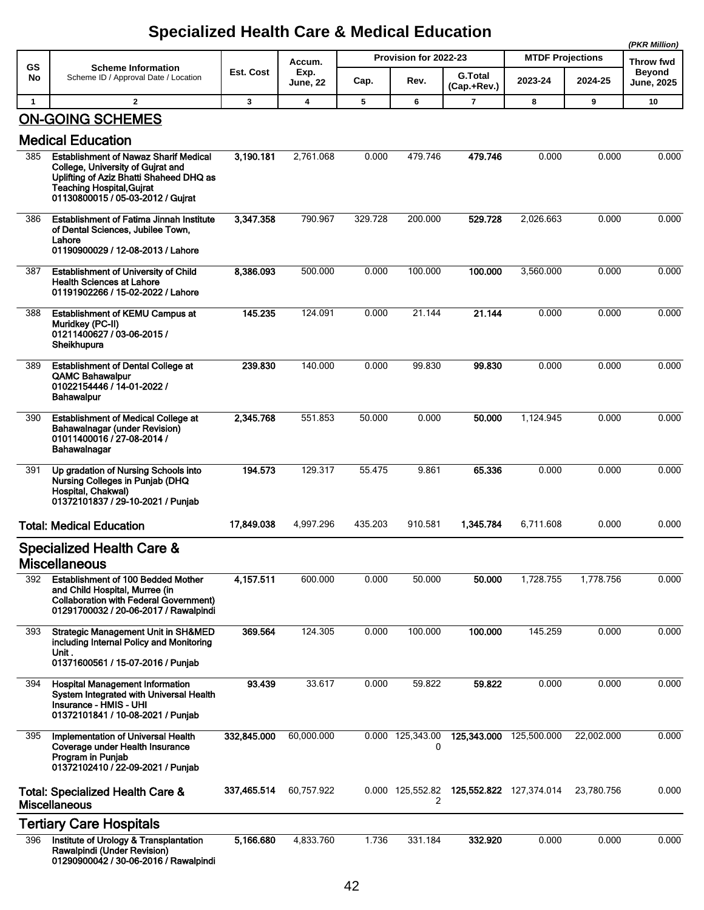|                 |                                                                                                                                                                                                       |             |                 |         |                               |                |                                    |            | (PKR Million)              |
|-----------------|-------------------------------------------------------------------------------------------------------------------------------------------------------------------------------------------------------|-------------|-----------------|---------|-------------------------------|----------------|------------------------------------|------------|----------------------------|
| <b>GS</b><br>No | <b>Scheme Information</b><br>Scheme ID / Approval Date / Location                                                                                                                                     | Est. Cost   | Accum.<br>Exp.  |         | Provision for 2022-23<br>Rev. | <b>G.Total</b> | <b>MTDF Projections</b><br>2023-24 | 2024-25    | Throw fwd<br><b>Beyond</b> |
|                 |                                                                                                                                                                                                       |             | <b>June, 22</b> | Cap.    |                               | (Cap.+Rev.)    |                                    |            | June, 2025                 |
| $\mathbf{1}$    | $\overline{2}$                                                                                                                                                                                        | 3           | 4               | 5       | 6                             | 7              | 8                                  | 9          | 10                         |
|                 | <b>ON-GOING SCHEMES</b>                                                                                                                                                                               |             |                 |         |                               |                |                                    |            |                            |
|                 | <b>Medical Education</b>                                                                                                                                                                              |             |                 |         |                               |                |                                    |            |                            |
| 385             | <b>Establishment of Nawaz Sharif Medical</b><br>College, University of Guirat and<br>Uplifting of Aziz Bhatti Shaheed DHQ as<br><b>Teaching Hospital, Guirat</b><br>01130800015 / 05-03-2012 / Gujrat | 3,190.181   | 2,761.068       | 0.000   | 479.746                       | 479.746        | 0.000                              | 0.000      | 0.000                      |
| 386             | <b>Establishment of Fatima Jinnah Institute</b><br>of Dental Sciences, Jubilee Town,<br>Lahore<br>01190900029 / 12-08-2013 / Lahore                                                                   | 3,347.358   | 790.967         | 329.728 | 200.000                       | 529.728        | 2,026.663                          | 0.000      | 0.000                      |
| 387             | <b>Establishment of University of Child</b><br><b>Health Sciences at Lahore</b><br>01191902266 / 15-02-2022 / Lahore                                                                                  | 8,386.093   | 500.000         | 0.000   | 100.000                       | 100.000        | 3,560.000                          | 0.000      | 0.000                      |
| 388             | <b>Establishment of KEMU Campus at</b><br>Muridkey (PC-II)<br>01211400627 / 03-06-2015 /<br>Sheikhupura                                                                                               | 145.235     | 124.091         | 0.000   | 21.144                        | 21.144         | 0.000                              | 0.000      | 0.000                      |
| 389             | <b>Establishment of Dental College at</b><br><b>QAMC Bahawalpur</b><br>01022154446 / 14-01-2022 /<br><b>Bahawalpur</b>                                                                                | 239.830     | 140.000         | 0.000   | 99.830                        | 99.830         | 0.000                              | 0.000      | 0.000                      |
| 390             | <b>Establishment of Medical College at</b><br><b>Bahawalnagar (under Revision)</b><br>01011400016 / 27-08-2014 /<br>Bahawalnagar                                                                      | 2,345.768   | 551.853         | 50.000  | 0.000                         | 50.000         | 1,124.945                          | 0.000      | 0.000                      |
| 391             | Up gradation of Nursing Schools into<br>Nursing Colleges in Punjab (DHQ<br>Hospital, Chakwal)<br>01372101837 / 29-10-2021 / Punjab                                                                    | 194.573     | 129.317         | 55.475  | 9.861                         | 65.336         | 0.000                              | 0.000      | 0.000                      |
|                 | <b>Total: Medical Education</b>                                                                                                                                                                       | 17,849.038  | 4,997.296       | 435.203 | 910.581                       | 1.345.784      | 6,711.608                          | 0.000      | 0.000                      |
|                 | <b>Specialized Health Care &amp;</b><br><b>Miscellaneous</b>                                                                                                                                          |             |                 |         |                               |                |                                    |            |                            |
| 392             | <b>Establishment of 100 Bedded Mother</b><br>and Child Hospital, Murree (in<br><b>Collaboration with Federal Government)</b><br>01291700032 / 20-06-2017 / Rawalpindi                                 | 4,157.511   | 600.000         | 0.000   | 50.000                        | 50.000         | 1,728.755                          | 1,778.756  | 0.000                      |
| 393             | <b>Strategic Management Unit in SH&amp;MED</b><br>including Internal Policy and Monitoring<br>Unit .<br>01371600561 / 15-07-2016 / Punjab                                                             | 369.564     | 124.305         | 0.000   | 100.000                       | 100.000        | 145.259                            | 0.000      | 0.000                      |
| 394             | <b>Hospital Management Information</b><br>System Integrated with Universal Health<br>Insurance - HMIS - UHI<br>01372101841 / 10-08-2021 / Punjab                                                      | 93.439      | 33.617          | 0.000   | 59.822                        | 59.822         | 0.000                              | 0.000      | 0.000                      |
| 395             | Implementation of Universal Health<br>Coverage under Health Insurance<br>Program in Punjab<br>01372102410 / 22-09-2021 / Punjab                                                                       | 332,845.000 | 60,000.000      |         | 0.000 125,343.00<br>0         | 125,343.000    | 125,500.000                        | 22,002.000 | 0.000                      |
|                 | <b>Total: Specialized Health Care &amp;</b><br><b>Miscellaneous</b>                                                                                                                                   | 337,465.514 | 60,757.922      |         | 0.000 125,552.82<br>2         |                | 125,552.822 127,374.014            | 23,780.756 | 0.000                      |
|                 | <b>Tertiary Care Hospitals</b>                                                                                                                                                                        |             |                 |         |                               |                |                                    |            |                            |
| 396             | Institute of Urology & Transplantation<br>Rawalpindi (Under Revision)<br>01290900042 / 30-06-2016 / Rawalpindi                                                                                        | 5,166.680   | 4,833.760       | 1.736   | 331.184                       | 332.920        | 0.000                              | 0.000      | 0.000                      |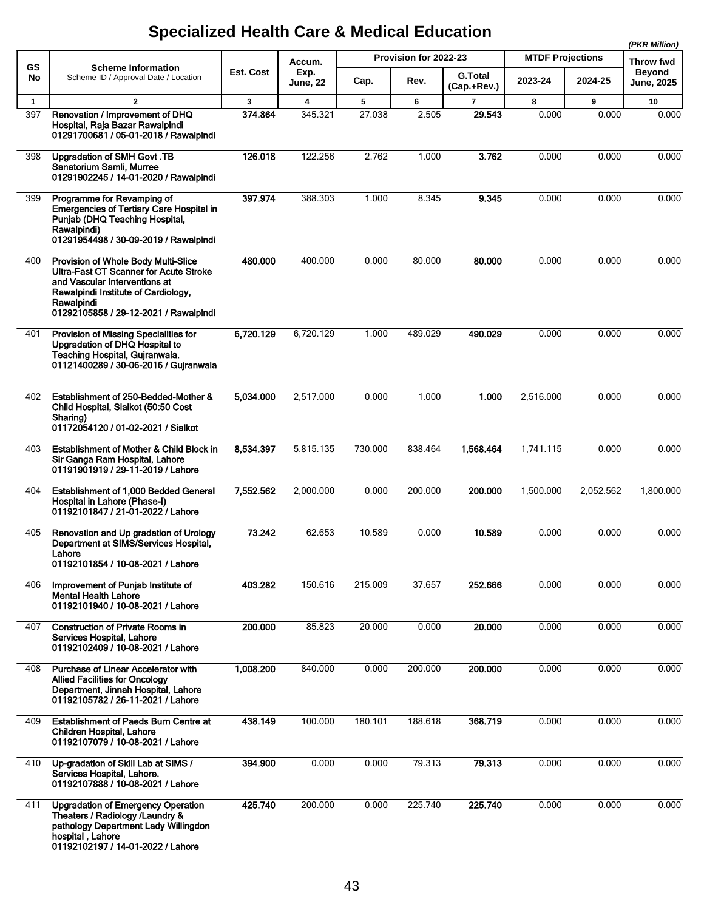|                     |                                                                                                                                                                                                              |              |                |             |                       |                               |                         |            | (PKR Million)              |
|---------------------|--------------------------------------------------------------------------------------------------------------------------------------------------------------------------------------------------------------|--------------|----------------|-------------|-----------------------|-------------------------------|-------------------------|------------|----------------------------|
| <b>GS</b>           | <b>Scheme Information</b>                                                                                                                                                                                    | Est. Cost    | Accum.<br>Exp. |             | Provision for 2022-23 |                               | <b>MTDF Projections</b> |            | Throw fwd<br><b>Beyond</b> |
| No                  | Scheme ID / Approval Date / Location                                                                                                                                                                         |              | June, 22       | Cap.        | Rev.                  | <b>G.Total</b><br>(Cap.+Rev.) | 2023-24                 | 2024-25    | <b>June, 2025</b>          |
| $\mathbf{1}$<br>397 | $\overline{2}$<br>Renovation / Improvement of DHQ<br>Hospital, Raja Bazar Rawalpindi<br>01291700681 / 05-01-2018 / Rawalpindi                                                                                | 3<br>374.864 | 4<br>345.321   | 5<br>27.038 | 6<br>2.505            | $\overline{7}$<br>29.543      | 8<br>0.000              | 9<br>0.000 | 10<br>0.000                |
| 398                 | Upgradation of SMH Govt.TB<br>Sanatorium Samli, Murree<br>01291902245 / 14-01-2020 / Rawalpindi                                                                                                              | 126.018      | 122.256        | 2.762       | 1.000                 | 3.762                         | 0.000                   | 0.000      | 0.000                      |
| 399                 | Programme for Revamping of<br><b>Emergencies of Tertiary Care Hospital in</b><br>Punjab (DHQ Teaching Hospital,<br>Rawalpindi)<br>01291954498 / 30-09-2019 / Rawalpindi                                      | 397.974      | 388.303        | 1.000       | 8.345                 | 9.345                         | 0.000                   | 0.000      | 0.000                      |
| 400                 | Provision of Whole Body Multi-Slice<br>Ultra-Fast CT Scanner for Acute Stroke<br>and Vascular Interventions at<br>Rawalpindi Institute of Cardiology,<br>Rawalpindi<br>01292105858 / 29-12-2021 / Rawalpindi | 480.000      | 400.000        | 0.000       | 80.000                | 80,000                        | 0.000                   | 0.000      | 0.000                      |
| 401                 | Provision of Missing Specialities for<br>Upgradation of DHQ Hospital to<br>Teaching Hospital, Gujranwala.<br>01121400289 / 30-06-2016 / Gujranwala                                                           | 6,720.129    | 6,720.129      | 1.000       | 489.029               | 490.029                       | 0.000                   | 0.000      | 0.000                      |
| 402                 | Establishment of 250-Bedded-Mother &<br>Child Hospital, Sialkot (50:50 Cost<br>Sharing)<br>01172054120 / 01-02-2021 / Sialkot                                                                                | 5,034.000    | 2,517.000      | 0.000       | 1.000                 | 1.000                         | 2,516.000               | 0.000      | 0.000                      |
| 403                 | Establishment of Mother & Child Block in<br>Sir Ganga Ram Hospital, Lahore<br>01191901919 / 29-11-2019 / Lahore                                                                                              | 8,534.397    | 5,815.135      | 730.000     | 838.464               | 1,568.464                     | 1,741.115               | 0.000      | 0.000                      |
| 404                 | Establishment of 1,000 Bedded General<br>Hospital in Lahore (Phase-I)<br>01192101847 / 21-01-2022 / Lahore                                                                                                   | 7,552.562    | 2,000.000      | 0.000       | 200.000               | 200.000                       | 1,500.000               | 2,052.562  | 1,800.000                  |
| 405                 | Renovation and Up gradation of Urology<br>Department at SIMS/Services Hospital,<br>Lahore<br>01192101854 / 10-08-2021 / Lahore                                                                               | 73.242       | 62.653         | 10.589      | 0.000                 | 10.589                        | 0.000                   | 0.000      | 0.000                      |
| 406                 | Improvement of Punjab Institute of<br><b>Mental Health Lahore</b><br>01192101940 / 10-08-2021 / Lahore                                                                                                       | 403.282      | 150.616        | 215.009     | 37.657                | 252.666                       | 0.000                   | 0.000      | 0.000                      |
| 407                 | <b>Construction of Private Rooms in</b><br>Services Hospital, Lahore<br>01192102409 / 10-08-2021 / Lahore                                                                                                    | 200.000      | 85.823         | 20.000      | 0.000                 | 20.000                        | 0.000                   | 0.000      | 0.000                      |
| 408                 | Purchase of Linear Accelerator with<br><b>Allied Facilities for Oncology</b><br>Department, Jinnah Hospital, Lahore<br>01192105782 / 26-11-2021 / Lahore                                                     | 1,008.200    | 840.000        | 0.000       | 200.000               | 200.000                       | 0.000                   | 0.000      | 0.000                      |
| 409                 | <b>Establishment of Paeds Burn Centre at</b><br><b>Children Hospital, Lahore</b><br>01192107079 / 10-08-2021 / Lahore                                                                                        | 438.149      | 100.000        | 180.101     | 188.618               | 368.719                       | 0.000                   | 0.000      | 0.000                      |
| 410                 | Up-gradation of Skill Lab at SIMS /<br>Services Hospital, Lahore.<br>01192107888 / 10-08-2021 / Lahore                                                                                                       | 394.900      | 0.000          | 0.000       | 79.313                | 79.313                        | 0.000                   | 0.000      | 0.000                      |
| 411                 | <b>Upgradation of Emergency Operation</b><br>Theaters / Radiology /Laundry &<br>pathology Department Lady Willingdon<br>hospital, Lahore<br>01192102197 / 14-01-2022 / Lahore                                | 425.740      | 200.000        | 0.000       | 225.740               | 225.740                       | 0.000                   | 0.000      | 0.000                      |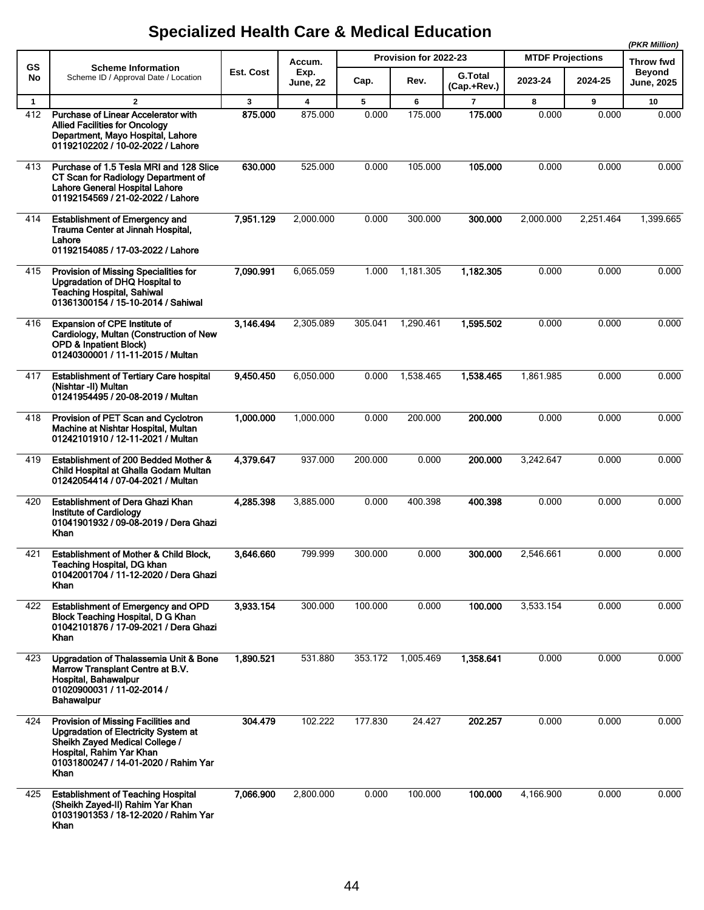|              |                                                                                                                                                                                                  |           |                         |         |                       |                               |                         |           | (PKR Million)                      |  |
|--------------|--------------------------------------------------------------------------------------------------------------------------------------------------------------------------------------------------|-----------|-------------------------|---------|-----------------------|-------------------------------|-------------------------|-----------|------------------------------------|--|
| <b>GS</b>    | <b>Scheme Information</b>                                                                                                                                                                        |           | Accum.                  |         | Provision for 2022-23 |                               | <b>MTDF Projections</b> |           | Throw fwd                          |  |
| No           | Scheme ID / Approval Date / Location                                                                                                                                                             | Est. Cost | Exp.<br><b>June, 22</b> | Cap.    | Rev.                  | <b>G.Total</b><br>(Cap.+Rev.) | 2023-24                 | 2024-25   | <b>Beyond</b><br><b>June, 2025</b> |  |
| $\mathbf{1}$ | $\overline{2}$                                                                                                                                                                                   | 3         | $\overline{\mathbf{4}}$ | 5       | 6                     | $\overline{7}$                | 8                       | 9         | 10                                 |  |
| 412          | Purchase of Linear Accelerator with<br><b>Allied Facilities for Oncology</b><br>Department, Mayo Hospital, Lahore<br>01192102202 / 10-02-2022 / Lahore                                           | 875.000   | 875.000                 | 0.000   | 175.000               | 175.000                       | 0.000                   | 0.000     | 0.000                              |  |
| 413          | Purchase of 1.5 Tesla MRI and 128 Slice<br>CT Scan for Radiology Department of<br><b>Lahore General Hospital Lahore</b><br>01192154569 / 21-02-2022 / Lahore                                     | 630.000   | 525.000                 | 0.000   | 105.000               | 105.000                       | 0.000                   | 0.000     | 0.000                              |  |
| 414          | <b>Establishment of Emergency and</b><br>Trauma Center at Jinnah Hospital,<br>Lahore<br>01192154085 / 17-03-2022 / Lahore                                                                        | 7,951.129 | 2,000.000               | 0.000   | 300.000               | 300.000                       | 2,000.000               | 2,251.464 | 1,399.665                          |  |
| 415          | Provision of Missing Specialities for<br>Upgradation of DHQ Hospital to<br><b>Teaching Hospital, Sahiwal</b><br>01361300154 / 15-10-2014 / Sahiwal                                               | 7,090.991 | 6,065.059               | 1.000   | 1,181.305             | 1,182.305                     | 0.000                   | 0.000     | 0.000                              |  |
| 416          | <b>Expansion of CPE Institute of</b><br>Cardiology, Multan (Construction of New<br><b>OPD &amp; Inpatient Block)</b><br>01240300001 / 11-11-2015 / Multan                                        | 3,146.494 | 2,305.089               | 305.041 | 1,290.461             | 1,595.502                     | 0.000                   | 0.000     | 0.000                              |  |
| 417          | <b>Establishment of Tertiary Care hospital</b><br>(Nishtar -II) Multan<br>01241954495 / 20-08-2019 / Multan                                                                                      | 9,450.450 | 6,050.000               | 0.000   | 1,538.465             | 1,538.465                     | 1,861.985               | 0.000     | 0.000                              |  |
| 418          | Provision of PET Scan and Cyclotron<br>Machine at Nishtar Hospital, Multan<br>01242101910 / 12-11-2021 / Multan                                                                                  | 1,000.000 | 1,000.000               | 0.000   | 200.000               | 200.000                       | 0.000                   | 0.000     | 0.000                              |  |
| 419          | Establishment of 200 Bedded Mother &<br>Child Hospital at Ghalla Godam Multan<br>01242054414 / 07-04-2021 / Multan                                                                               | 4,379.647 | 937.000                 | 200.000 | 0.000                 | 200.000                       | 3,242.647               | 0.000     | 0.000                              |  |
| 420          | Establishment of Dera Ghazi Khan<br>Institute of Cardiology<br>01041901932 / 09-08-2019 / Dera Ghazi<br>Khan                                                                                     | 4,285.398 | 3.885.000               | 0.000   | 400.398               | 400.398                       | 0.000                   | 0.000     | 0.000                              |  |
| 421          | Establishment of Mother & Child Block,<br>Teaching Hospital, DG khan<br>01042001704 / 11-12-2020 / Dera Ghazi<br>Khan                                                                            | 3,646.660 | 799.999                 | 300.000 | 0.000                 | 300.000                       | 2,546.661               | 0.000     | 0.000                              |  |
| 422          | <b>Establishment of Emergency and OPD</b><br>Block Teaching Hospital, D G Khan<br>01042101876 / 17-09-2021 / Dera Ghazi<br>Khan                                                                  | 3,933.154 | 300.000                 | 100.000 | 0.000                 | 100.000                       | 3,533.154               | 0.000     | 0.000                              |  |
| 423          | Upgradation of Thalassemia Unit & Bone<br>Marrow Transplant Centre at B.V.<br>Hospital, Bahawalpur<br>01020900031 / 11-02-2014 /<br><b>Bahawalpur</b>                                            | 1,890.521 | 531.880                 | 353.172 | 1,005.469             | 1,358.641                     | 0.000                   | 0.000     | 0.000                              |  |
| 424          | Provision of Missing Facilities and<br><b>Upgradation of Electricity System at</b><br>Sheikh Zayed Medical College /<br>Hospital, Rahim Yar Khan<br>01031800247 / 14-01-2020 / Rahim Yar<br>Khan | 304.479   | 102.222                 | 177.830 | 24.427                | 202.257                       | 0.000                   | 0.000     | 0.000                              |  |
| 425          | <b>Establishment of Teaching Hospital</b><br>(Sheikh Zayed-II) Rahim Yar Khan<br>01031901353 / 18-12-2020 / Rahim Yar<br>Khan                                                                    | 7,066.900 | 2,800.000               | 0.000   | 100.000               | 100.000                       | 4,166.900               | 0.000     | 0.000                              |  |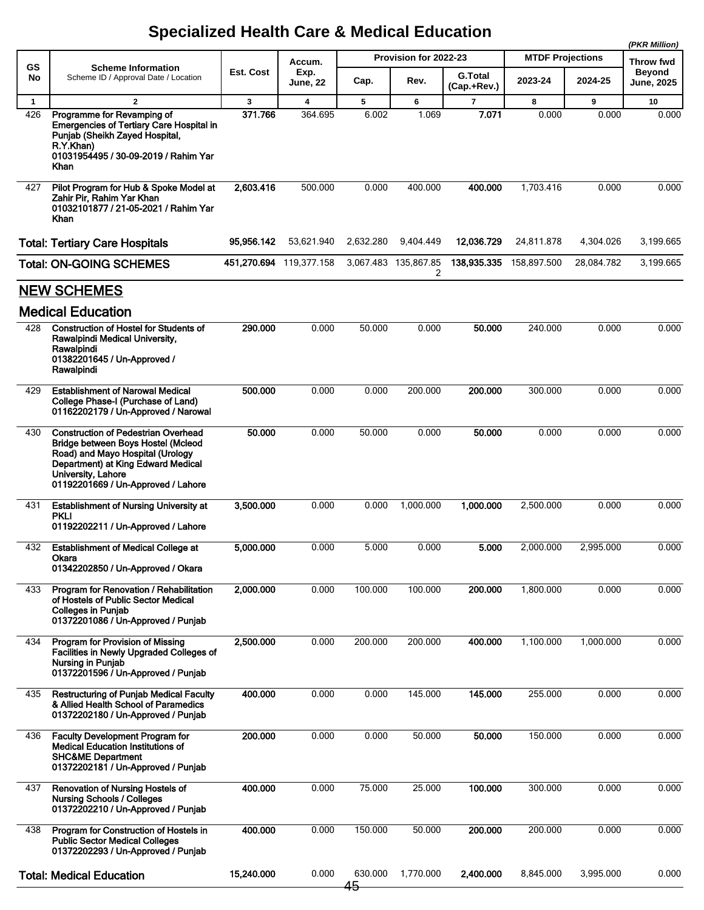|              |                                                                                                                                                                                                                        |            | Accum.                  |               | Provision for 2022-23     |                               | <b>MTDF Projections</b> |            | (PKR Million)<br>Throw fwd  |
|--------------|------------------------------------------------------------------------------------------------------------------------------------------------------------------------------------------------------------------------|------------|-------------------------|---------------|---------------------------|-------------------------------|-------------------------|------------|-----------------------------|
| GS<br>No     | <b>Scheme Information</b><br>Scheme ID / Approval Date / Location                                                                                                                                                      | Est. Cost  | Exp.<br>June, 22        | Cap.          | Rev.                      | <b>G.Total</b><br>(Cap.+Rev.) | 2023-24                 | 2024-25    | <b>Beyond</b><br>June, 2025 |
| $\mathbf{1}$ | $\overline{2}$                                                                                                                                                                                                         | 3          | $\overline{\mathbf{4}}$ | 5             | 6                         | $\overline{7}$                | 8                       | 9          | 10                          |
| 426          | Programme for Revamping of<br><b>Emergencies of Tertiary Care Hospital in</b><br>Punjab (Sheikh Zayed Hospital,<br>R.Y.Khan)<br>01031954495 / 30-09-2019 / Rahim Yar<br>Khan                                           | 371.766    | 364.695                 | 6.002         | 1.069                     | 7.071                         | 0.000                   | 0.000      | 0.000                       |
| 427          | Pilot Program for Hub & Spoke Model at<br>Zahir Pir, Rahim Yar Khan<br>01032101877 / 21-05-2021 / Rahim Yar<br>Khan                                                                                                    | 2,603.416  | 500.000                 | 0.000         | 400.000                   | 400.000                       | 1,703.416               | 0.000      | 0.000                       |
|              | <b>Total: Tertiary Care Hospitals</b>                                                                                                                                                                                  | 95,956.142 | 53,621.940              | 2,632.280     | 9,404.449                 | 12,036.729                    | 24,811.878              | 4,304.026  | 3,199.665                   |
|              | <b>Total: ON-GOING SCHEMES</b>                                                                                                                                                                                         |            | 451,270.694 119,377.158 |               | 3,067.483 135,867.85<br>2 | 138,935.335                   | 158,897.500             | 28,084.782 | 3,199.665                   |
|              | <b>NEW SCHEMES</b>                                                                                                                                                                                                     |            |                         |               |                           |                               |                         |            |                             |
|              | <b>Medical Education</b>                                                                                                                                                                                               |            |                         |               |                           |                               |                         |            |                             |
| 428          | <b>Construction of Hostel for Students of</b><br>Rawalpindi Medical University,<br>Rawalpindi<br>01382201645 / Un-Approved /<br>Rawalpindi                                                                             | 290.000    | 0.000                   | 50.000        | 0.000                     | 50.000                        | 240.000                 | 0.000      | 0.000                       |
| 429          | <b>Establishment of Narowal Medical</b><br>College Phase-I (Purchase of Land)<br>01162202179 / Un-Approved / Narowal                                                                                                   | 500.000    | 0.000                   | 0.000         | 200.000                   | 200.000                       | 300.000                 | 0.000      | 0.000                       |
| 430          | <b>Construction of Pedestrian Overhead</b><br>Bridge between Boys Hostel (Mcleod<br>Road) and Mayo Hospital (Urology<br>Department) at King Edward Medical<br>University, Lahore<br>01192201669 / Un-Approved / Lahore | 50.000     | 0.000                   | 50.000        | 0.000                     | 50.000                        | 0.000                   | 0.000      | 0.000                       |
| 431          | <b>Establishment of Nursing University at</b><br><b>PKLI</b><br>01192202211 / Un-Approved / Lahore                                                                                                                     | 3,500,000  | 0.000                   | 0.000         | 1,000.000                 | 1,000.000                     | 2,500.000               | 0.000      | 0.000                       |
| 432          | <b>Establishment of Medical College at</b><br>Okara<br>01342202850 / Un-Approved / Okara                                                                                                                               | 5,000.000  | 0.000                   | 5.000         | 0.000                     | 5.000                         | 2,000.000               | 2,995.000  | 0.000                       |
| 433          | Program for Renovation / Rehabilitation<br>of Hostels of Public Sector Medical<br><b>Colleges in Punjab</b><br>01372201086 / Un-Approved / Punjab                                                                      | 2,000.000  | 0.000                   | 100.000       | 100.000                   | 200.000                       | 1,800.000               | 0.000      | 0.000                       |
| 434          | Program for Provision of Missing<br>Facilities in Newly Upgraded Colleges of<br><b>Nursing in Punjab</b><br>01372201596 / Un-Approved / Punjab                                                                         | 2,500.000  | 0.000                   | 200.000       | 200.000                   | 400.000                       | 1,100.000               | 1,000.000  | 0.000                       |
| 435          | <b>Restructuring of Punjab Medical Faculty</b><br>& Allied Health School of Paramedics<br>01372202180 / Un-Approved / Punjab                                                                                           | 400.000    | 0.000                   | 0.000         | 145.000                   | 145.000                       | 255.000                 | 0.000      | 0.000                       |
| 436          | <b>Faculty Development Program for</b><br><b>Medical Education Institutions of</b><br><b>SHC&amp;ME Department</b><br>01372202181 / Un-Approved / Punjab                                                               | 200.000    | 0.000                   | 0.000         | 50.000                    | 50.000                        | 150.000                 | 0.000      | 0.000                       |
| 437          | Renovation of Nursing Hostels of<br><b>Nursing Schools / Colleges</b><br>01372202210 / Un-Approved / Punjab                                                                                                            | 400.000    | 0.000                   | 75.000        | 25.000                    | 100.000                       | 300.000                 | 0.000      | 0.000                       |
| 438          | Program for Construction of Hostels in<br><b>Public Sector Medical Colleges</b><br>01372202293 / Un-Approved / Punjab                                                                                                  | 400.000    | 0.000                   | 150.000       | 50.000                    | 200.000                       | 200.000                 | 0.000      | 0.000                       |
|              | <b>Total: Medical Education</b>                                                                                                                                                                                        | 15,240.000 | 0.000                   | 630.000<br>45 | 1,770.000                 | 2,400.000                     | 8,845.000               | 3,995.000  | 0.000                       |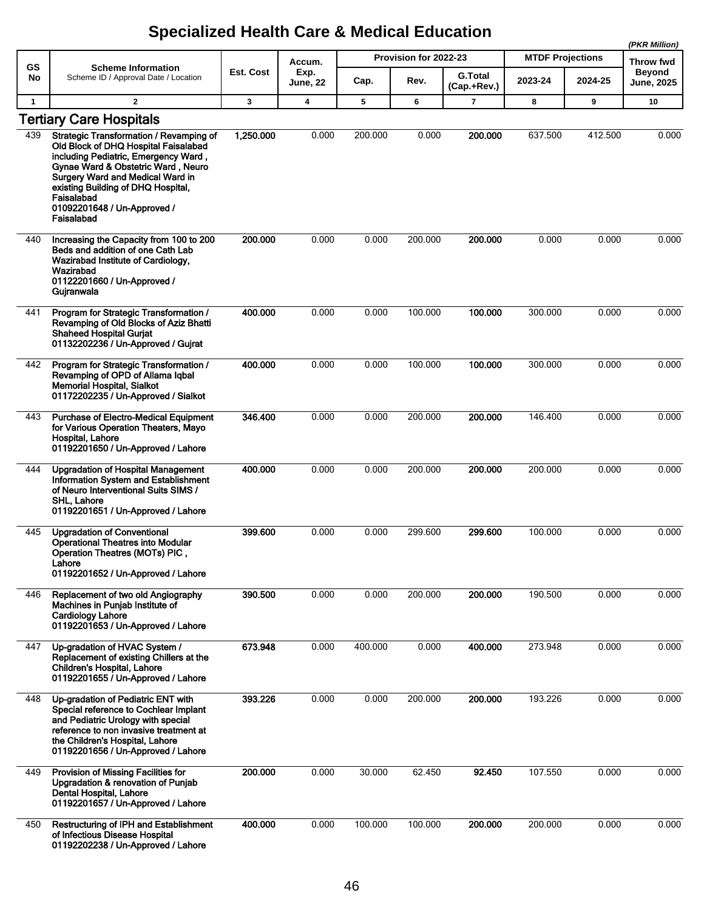|              |                                                                                                                                                                                                                                                                                                    |           |                         |         |                       |                               |                         |         | (PKR Million)               |
|--------------|----------------------------------------------------------------------------------------------------------------------------------------------------------------------------------------------------------------------------------------------------------------------------------------------------|-----------|-------------------------|---------|-----------------------|-------------------------------|-------------------------|---------|-----------------------------|
| GS           | <b>Scheme Information</b>                                                                                                                                                                                                                                                                          |           | Accum.                  |         | Provision for 2022-23 |                               | <b>MTDF Projections</b> |         | Throw fwd                   |
| No           | Scheme ID / Approval Date / Location                                                                                                                                                                                                                                                               | Est. Cost | Exp.<br><b>June, 22</b> | Cap.    | Rev.                  | <b>G.Total</b><br>(Cap.+Rev.) | 2023-24                 | 2024-25 | Beyond<br><b>June, 2025</b> |
| $\mathbf{1}$ | $\overline{2}$                                                                                                                                                                                                                                                                                     | 3         | $\boldsymbol{4}$        | 5       | 6                     | $\overline{7}$                | 8                       | 9       | 10                          |
|              | <b>Tertiary Care Hospitals</b>                                                                                                                                                                                                                                                                     |           |                         |         |                       |                               |                         |         |                             |
| 439          | Strategic Transformation / Revamping of<br>Old Block of DHQ Hospital Faisalabad<br>including Pediatric, Emergency Ward,<br>Gynae Ward & Obstetric Ward, Neuro<br>Surgery Ward and Medical Ward in<br>existing Building of DHQ Hospital,<br>Faisalabad<br>01092201648 / Un-Approved /<br>Faisalabad | 1,250.000 | 0.000                   | 200.000 | 0.000                 | 200.000                       | 637.500                 | 412.500 | 0.000                       |
| 440          | Increasing the Capacity from 100 to 200<br>Beds and addition of one Cath Lab<br>Wazirabad Institute of Cardiology,<br>Wazirabad<br>01122201660 / Un-Approved /<br>Gujranwala                                                                                                                       | 200.000   | 0.000                   | 0.000   | 200.000               | 200.000                       | 0.000                   | 0.000   | 0.000                       |
| 441          | Program for Strategic Transformation /<br>Revamping of Old Blocks of Aziz Bhatti<br><b>Shaheed Hospital Gurjat</b><br>01132202236 / Un-Approved / Gujrat                                                                                                                                           | 400.000   | 0.000                   | 0.000   | 100.000               | 100.000                       | 300.000                 | 0.000   | 0.000                       |
| 442          | Program for Strategic Transformation /<br>Revamping of OPD of Allama Iqbal<br><b>Memorial Hospital, Sialkot</b><br>01172202235 / Un-Approved / Sialkot                                                                                                                                             | 400.000   | 0.000                   | 0.000   | 100.000               | 100.000                       | 300.000                 | 0.000   | 0.000                       |
| 443          | <b>Purchase of Electro-Medical Equipment</b><br>for Various Operation Theaters, Mayo<br>Hospital, Lahore<br>01192201650 / Un-Approved / Lahore                                                                                                                                                     | 346,400   | 0.000                   | 0.000   | 200.000               | 200.000                       | 146.400                 | 0.000   | 0.000                       |
| 444          | <b>Upgradation of Hospital Management</b><br>Information System and Establishment<br>of Neuro Interventional Suits SIMS /<br>SHL, Lahore<br>01192201651 / Un-Approved / Lahore                                                                                                                     | 400.000   | 0.000                   | 0.000   | 200.000               | 200.000                       | 200.000                 | 0.000   | 0.000                       |
| 445          | <b>Upgradation of Conventional</b><br><b>Operational Theatres into Modular</b><br><b>Operation Theatres (MOTs) PIC</b><br>Lahore<br>01192201652 / Un-Approved / Lahore                                                                                                                             | 399.600   | 0.000                   | 0.000   | 299.600               | 299.600                       | 100.000                 | 0.000   | 0.000                       |
| 446          | Replacement of two old Angiography<br>Machines in Punjab Institute of<br><b>Cardiology Lahore</b><br>01192201653 / Un-Approved / Lahore                                                                                                                                                            | 390,500   | 0.000                   | 0.000   | 200.000               | 200.000                       | 190.500                 | 0.000   | 0.000                       |
| 447          | Up-gradation of HVAC System /<br>Replacement of existing Chillers at the<br><b>Children's Hospital, Lahore</b><br>01192201655 / Un-Approved / Lahore                                                                                                                                               | 673.948   | 0.000                   | 400.000 | 0.000                 | 400.000                       | 273.948                 | 0.000   | 0.000                       |
| 448          | Up-gradation of Pediatric ENT with<br>Special reference to Cochlear Implant<br>and Pediatric Urology with special<br>reference to non invasive treatment at<br>the Children's Hospital, Lahore<br>01192201656 / Un-Approved / Lahore                                                               | 393.226   | 0.000                   | 0.000   | 200.000               | 200.000                       | 193.226                 | 0.000   | 0.000                       |
| 449          | Provision of Missing Facilities for<br>Upgradation & renovation of Punjab<br>Dental Hospital, Lahore<br>01192201657 / Un-Approved / Lahore                                                                                                                                                         | 200.000   | 0.000                   | 30.000  | 62.450                | 92.450                        | 107.550                 | 0.000   | 0.000                       |
| 450          | <b>Restructuring of IPH and Establishment</b><br>of Infectious Disease Hospital<br>01192202238 / Un-Approved / Lahore                                                                                                                                                                              | 400.000   | 0.000                   | 100.000 | 100.000               | 200.000                       | 200.000                 | 0.000   | 0.000                       |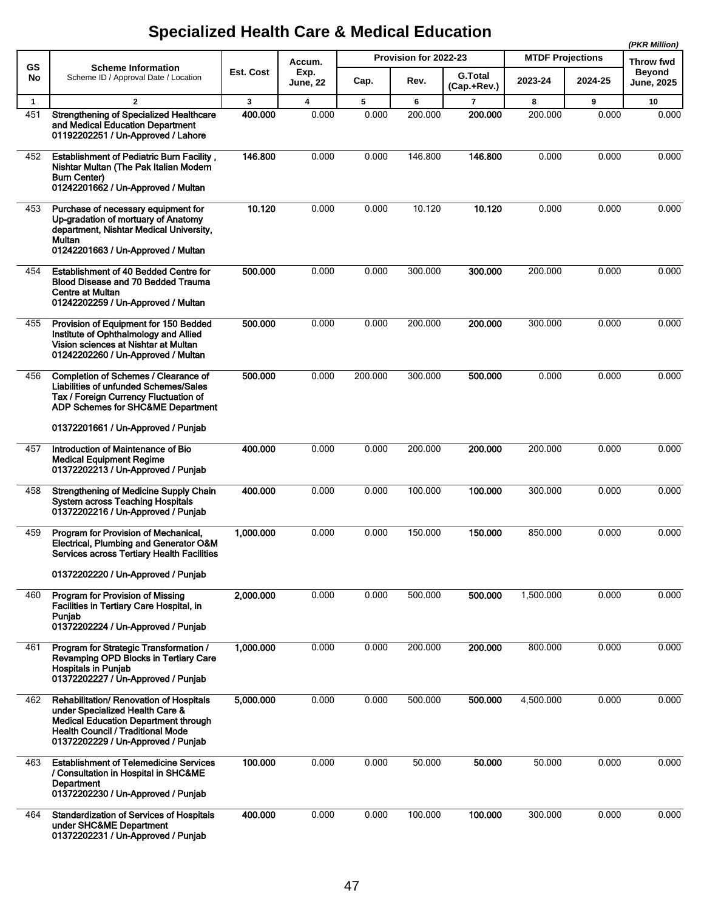|              |                                                                                                                                                                                                             |           |                         |         |                       |                               |                         |         | (PKR Million)               |  |
|--------------|-------------------------------------------------------------------------------------------------------------------------------------------------------------------------------------------------------------|-----------|-------------------------|---------|-----------------------|-------------------------------|-------------------------|---------|-----------------------------|--|
| GS           | <b>Scheme Information</b>                                                                                                                                                                                   |           | Accum.                  |         | Provision for 2022-23 |                               | <b>MTDF Projections</b> |         | <b>Throw fwd</b>            |  |
| No           | Scheme ID / Approval Date / Location                                                                                                                                                                        | Est. Cost | Exp.<br><b>June, 22</b> | Cap.    | Rev.                  | <b>G.Total</b><br>(Cap.+Rev.) | 2023-24                 | 2024-25 | <b>Beyond</b><br>June, 2025 |  |
| $\mathbf{1}$ | $\overline{2}$                                                                                                                                                                                              | 3         | 4                       | 5       | 6                     | $\overline{7}$                | 8                       | 9       | 10                          |  |
| 451          | <b>Strengthening of Specialized Healthcare</b><br>and Medical Education Department<br>01192202251 / Un-Approved / Lahore                                                                                    | 400.000   | 0.000                   | 0.000   | 200.000               | 200.000                       | 200.000                 | 0.000   | 0.000                       |  |
| 452          | <b>Establishment of Pediatric Burn Facility,</b><br>Nishtar Multan (The Pak Italian Modern<br><b>Burn Center)</b><br>01242201662 / Un-Approved / Multan                                                     | 146.800   | 0.000                   | 0.000   | 146.800               | 146.800                       | 0.000                   | 0.000   | 0.000                       |  |
| 453          | Purchase of necessary equipment for<br>Up-gradation of mortuary of Anatomy<br>department, Nishtar Medical University,<br>Multan<br>01242201663 / Un-Approved / Multan                                       | 10.120    | 0.000                   | 0.000   | 10.120                | 10.120                        | 0.000                   | 0.000   | 0.000                       |  |
| 454          | Establishment of 40 Bedded Centre for<br>Blood Disease and 70 Bedded Trauma<br>Centre at Multan<br>01242202259 / Un-Approved / Multan                                                                       | 500.000   | 0.000                   | 0.000   | 300.000               | 300.000                       | 200.000                 | 0.000   | 0.000                       |  |
| 455          | Provision of Equipment for 150 Bedded<br>Institute of Ophthalmology and Allied<br>Vision sciences at Nishtar at Multan<br>01242202260 / Un-Approved / Multan                                                | 500.000   | 0.000                   | 0.000   | 200.000               | 200.000                       | 300.000                 | 0.000   | 0.000                       |  |
| 456          | Completion of Schemes / Clearance of<br><b>Liabilities of unfunded Schemes/Sales</b><br>Tax / Foreign Currency Fluctuation of<br>ADP Schemes for SHC&ME Department                                          | 500.000   | 0.000                   | 200.000 | 300.000               | 500.000                       | 0.000                   | 0.000   | 0.000                       |  |
|              | 01372201661 / Un-Approved / Punjab                                                                                                                                                                          |           |                         |         |                       |                               |                         |         |                             |  |
| 457          | Introduction of Maintenance of Bio<br><b>Medical Equipment Regime</b><br>01372202213 / Un-Approved / Punjab                                                                                                 | 400.000   | 0.000                   | 0.000   | 200.000               | 200.000                       | 200.000                 | 0.000   | 0.000                       |  |
| 458          | <b>Strengthening of Medicine Supply Chain</b><br><b>System across Teaching Hospitals</b><br>01372202216 / Un-Approved / Punjab                                                                              | 400.000   | 0.000                   | 0.000   | 100.000               | 100.000                       | 300.000                 | 0.000   | 0.000                       |  |
| 459          | Program for Provision of Mechanical,<br>Electrical, Plumbing and Generator O&M<br>Services across Tertiary Health Facilities                                                                                | 1,000.000 | 0.000                   | 0.000   | 150.000               | 150.000                       | 850.000                 | 0.000   | 0.000                       |  |
|              | 01372202220 / Un-Approved / Punjab                                                                                                                                                                          |           |                         |         |                       |                               |                         |         |                             |  |
| 460          | Program for Provision of Missing<br>Facilities in Tertiary Care Hospital, in<br>Puniab<br>01372202224 / Un-Approved / Punjab                                                                                | 2,000.000 | 0.000                   | 0.000   | 500.000               | 500.000                       | 1,500.000               | 0.000   | 0.000                       |  |
| 461          | Program for Strategic Transformation /<br>Revamping OPD Blocks in Tertiary Care<br><b>Hospitals in Punjab</b><br>01372202227 / Un-Approved / Punjab                                                         | 1,000.000 | 0.000                   | 0.000   | 200.000               | 200.000                       | 800.000                 | 0.000   | 0.000                       |  |
| 462          | Rehabilitation/ Renovation of Hospitals<br>under Specialized Health Care &<br><b>Medical Education Department through</b><br><b>Health Council / Traditional Mode</b><br>01372202229 / Un-Approved / Punjab | 5,000.000 | 0.000                   | 0.000   | 500.000               | 500.000                       | 4,500.000               | 0.000   | 0.000                       |  |
| 463          | <b>Establishment of Telemedicine Services</b><br>/ Consultation in Hospital in SHC&ME<br>Department<br>01372202230 / Un-Approved / Punjab                                                                   | 100.000   | 0.000                   | 0.000   | 50.000                | 50.000                        | 50.000                  | 0.000   | 0.000                       |  |
| 464          | <b>Standardization of Services of Hospitals</b><br>under SHC&ME Department<br>01372202231 / Un-Approved / Punjab                                                                                            | 400.000   | 0.000                   | 0.000   | 100.000               | 100.000                       | 300.000                 | 0.000   | 0.000                       |  |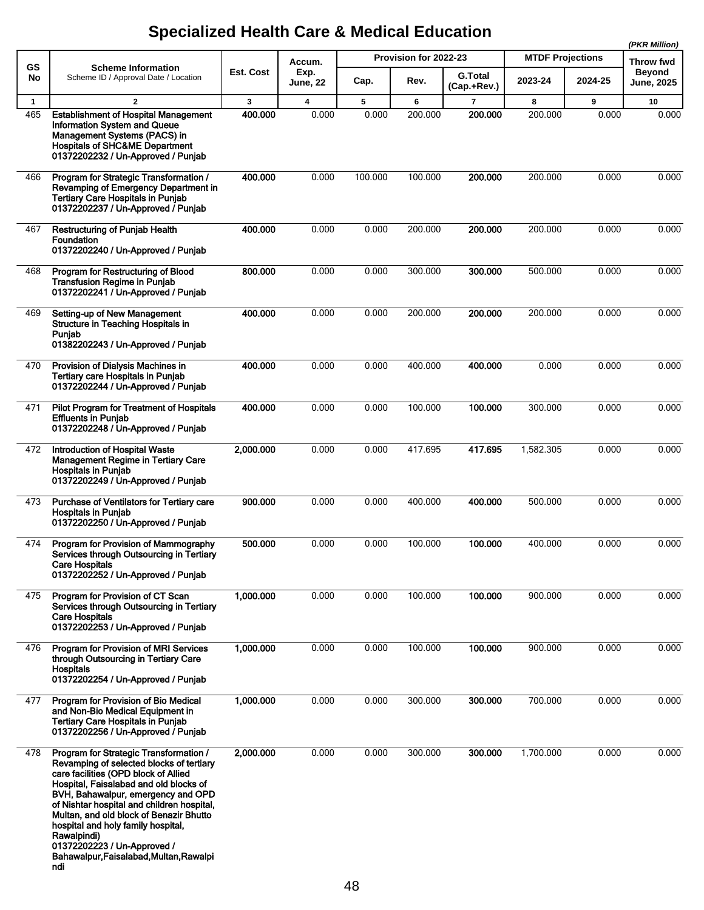| GS<br>No            | <b>Scheme Information</b><br>Scheme ID / Approval Date / Location                                                                                                                                                                                                                                                                                                                                                                         | Est. Cost    | Accum.<br>Exp.                   |            | Provision for 2022-23 | <b>G.Total</b>            | <b>MTDF Projections</b><br>2023-24 |            | Throw fwd<br><b>Beyond</b> |
|---------------------|-------------------------------------------------------------------------------------------------------------------------------------------------------------------------------------------------------------------------------------------------------------------------------------------------------------------------------------------------------------------------------------------------------------------------------------------|--------------|----------------------------------|------------|-----------------------|---------------------------|------------------------------------|------------|----------------------------|
|                     |                                                                                                                                                                                                                                                                                                                                                                                                                                           |              | <b>June, 22</b>                  | Cap.       | Rev.                  | (Cap.+Rev.)               |                                    | 2024-25    | <b>June, 2025</b>          |
| $\mathbf{1}$<br>465 | $\overline{2}$<br><b>Establishment of Hospital Management</b><br>Information System and Queue<br>Management Systems (PACS) in<br><b>Hospitals of SHC&amp;ME Department</b><br>01372202232 / Un-Approved / Punjab                                                                                                                                                                                                                          | 3<br>400.000 | $\overline{\mathbf{4}}$<br>0.000 | 5<br>0.000 | 6<br>200.000          | $\overline{7}$<br>200.000 | 8<br>200.000                       | 9<br>0.000 | 10<br>0.000                |
| 466                 | Program for Strategic Transformation /<br>Revamping of Emergency Department in<br><b>Tertiary Care Hospitals in Punjab</b><br>01372202237 / Un-Approved / Punjab                                                                                                                                                                                                                                                                          | 400.000      | 0.000                            | 100.000    | 100.000               | 200.000                   | 200.000                            | 0.000      | 0.000                      |
| 467                 | <b>Restructuring of Punjab Health</b><br><b>Foundation</b><br>01372202240 / Un-Approved / Punjab                                                                                                                                                                                                                                                                                                                                          | 400.000      | 0.000                            | 0.000      | 200.000               | 200.000                   | 200.000                            | 0.000      | 0.000                      |
| 468                 | Program for Restructuring of Blood<br><b>Transfusion Regime in Punjab</b><br>01372202241 / Un-Approved / Punjab                                                                                                                                                                                                                                                                                                                           | 800.000      | 0.000                            | 0.000      | 300.000               | 300.000                   | 500.000                            | 0.000      | 0.000                      |
| 469                 | Setting-up of New Management<br>Structure in Teaching Hospitals in<br>Punjab<br>01382202243 / Un-Approved / Punjab                                                                                                                                                                                                                                                                                                                        | 400.000      | 0.000                            | 0.000      | 200.000               | 200.000                   | 200.000                            | 0.000      | 0.000                      |
| 470                 | Provision of Dialysis Machines in<br><b>Tertiary care Hospitals in Punjab</b><br>01372202244 / Un-Approved / Punjab                                                                                                                                                                                                                                                                                                                       | 400.000      | 0.000                            | 0.000      | 400.000               | 400.000                   | 0.000                              | 0.000      | 0.000                      |
| 471                 | Pilot Program for Treatment of Hospitals<br><b>Effluents in Punjab</b><br>01372202248 / Un-Approved / Punjab                                                                                                                                                                                                                                                                                                                              | 400.000      | 0.000                            | 0.000      | 100.000               | 100.000                   | 300.000                            | 0.000      | 0.000                      |
| 472                 | <b>Introduction of Hospital Waste</b><br><b>Management Regime in Tertiary Care</b><br><b>Hospitals in Punjab</b><br>01372202249 / Un-Approved / Punjab                                                                                                                                                                                                                                                                                    | 2,000.000    | 0.000                            | 0.000      | 417.695               | 417.695                   | 1,582.305                          | 0.000      | 0.000                      |
| 473                 | Purchase of Ventilators for Tertiary care<br><b>Hospitals in Punjab</b><br>01372202250 / Un-Approved / Punjab                                                                                                                                                                                                                                                                                                                             | 900.000      | 0.000                            | 0.000      | 400.000               | 400.000                   | 500.000                            | 0.000      | 0.000                      |
| 474                 | Program for Provision of Mammography<br>Services through Outsourcing in Tertiary<br>Care Hospitals<br>01372202252 / Un-Approved / Punjab                                                                                                                                                                                                                                                                                                  | 500.000      | 0.000                            | 0.000      | 100.000               | 100.000                   | 400.000                            | 0.000      | 0.000                      |
| 475                 | Program for Provision of CT Scan<br>Services through Outsourcing in Tertiary<br><b>Care Hospitals</b><br>01372202253 / Un-Approved / Punjab                                                                                                                                                                                                                                                                                               | 1,000.000    | 0.000                            | 0.000      | 100.000               | 100.000                   | 900.000                            | 0.000      | 0.000                      |
| 476                 | Program for Provision of MRI Services<br>through Outsourcing in Tertiary Care<br><b>Hospitals</b><br>01372202254 / Un-Approved / Punjab                                                                                                                                                                                                                                                                                                   | 1,000.000    | 0.000                            | 0.000      | 100.000               | 100.000                   | 900.000                            | 0.000      | 0.000                      |
| 477                 | Program for Provision of Bio Medical<br>and Non-Bio Medical Equipment in<br><b>Tertiary Care Hospitals in Punjab</b><br>01372202256 / Un-Approved / Punjab                                                                                                                                                                                                                                                                                | 1,000.000    | 0.000                            | 0.000      | 300.000               | 300.000                   | 700.000                            | 0.000      | 0.000                      |
| 478                 | Program for Strategic Transformation /<br>Revamping of selected blocks of tertiary<br>care facilities (OPD block of Allied<br>Hospital, Faisalabad and old blocks of<br>BVH, Bahawalpur, emergency and OPD<br>of Nishtar hospital and children hospital,<br>Multan, and old block of Benazir Bhutto<br>hospital and holy family hospital,<br>Rawalpindi)<br>01372202223 / Un-Approved /<br>Bahawalpur, Faisalabad, Multan, Rawalpi<br>ndi | 2,000.000    | 0.000                            | 0.000      | 300.000               | 300.000                   | 1,700.000                          | 0.000      | 0.000                      |